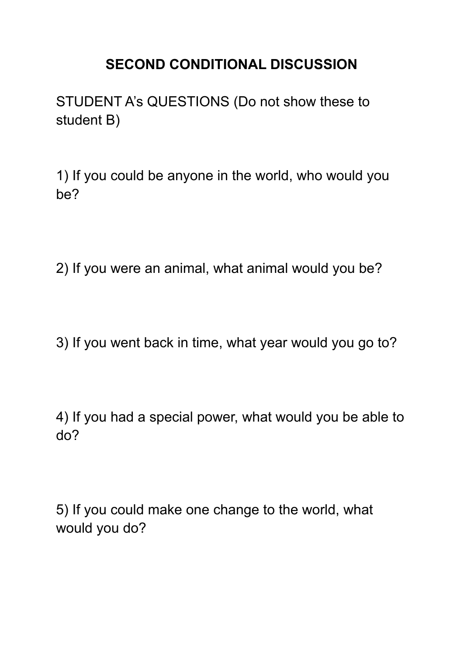## **SECOND CONDITIONAL DISCUSSION**

STUDENT A's QUESTIONS (Do not show these to student B)

1) If you could be anyone in the world, who would you be?

2) If you were an animal, what animal would you be?

3) If you went back in time, what year would you go to?

4) If you had a special power, what would you be able to do?

5) If you could make one change to the world, what would you do?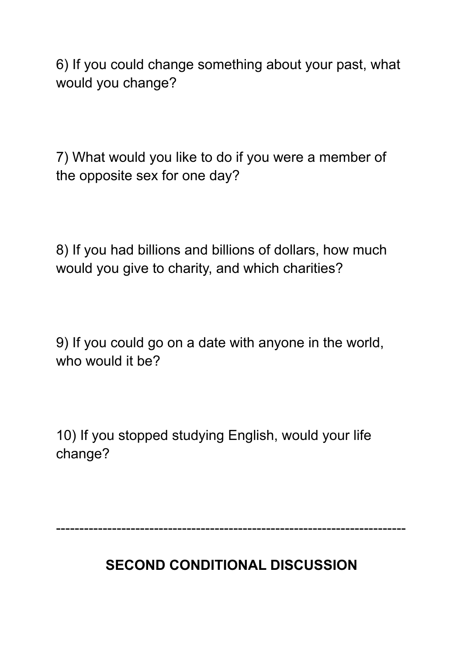6) If you could change something about your past, what would you change?

7) What would you like to do if you were a member of the opposite sex for one day?

8) If you had billions and billions of dollars, how much would you give to charity, and which charities?

9) If you could go on a date with anyone in the world, who would it be?

10) If you stopped studying English, would your life change?

---------------------------------------------------------------------------

**SECOND CONDITIONAL DISCUSSION**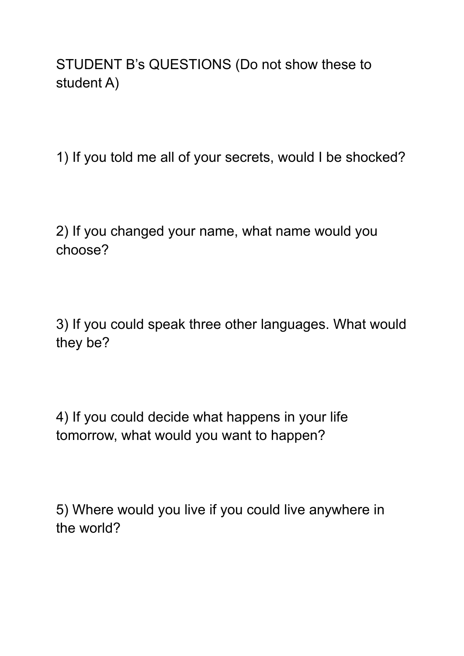STUDENT B's QUESTIONS (Do not show these to student A)

1) If you told me all of your secrets, would I be shocked?

2) If you changed your name, what name would you choose?

3) If you could speak three other languages. What would they be?

4) If you could decide what happens in your life tomorrow, what would you want to happen?

5) Where would you live if you could live anywhere in the world?